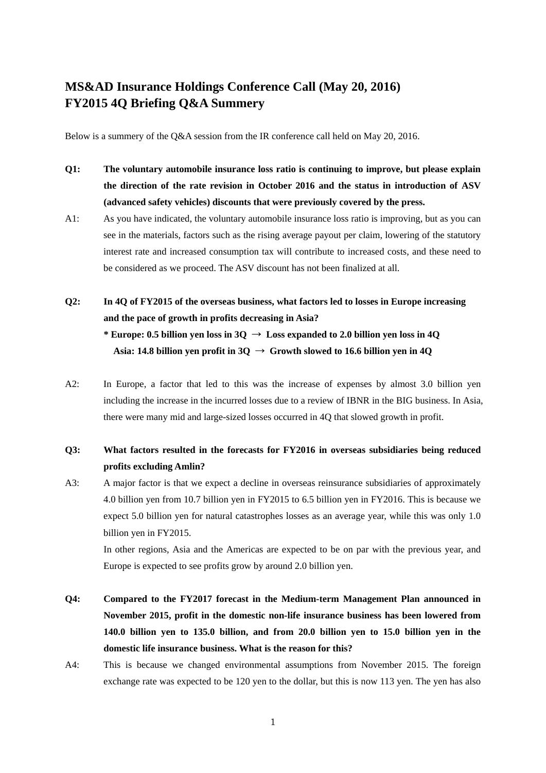## **MS&AD Insurance Holdings Conference Call (May 20, 2016) FY2015 4Q Briefing Q&A Summery**

Below is a summery of the Q&A session from the IR conference call held on May 20, 2016.

- **Q1: The voluntary automobile insurance loss ratio is continuing to improve, but please explain the direction of the rate revision in October 2016 and the status in introduction of ASV (advanced safety vehicles) discounts that were previously covered by the press.**
- A1: As you have indicated, the voluntary automobile insurance loss ratio is improving, but as you can see in the materials, factors such as the rising average payout per claim, lowering of the statutory interest rate and increased consumption tax will contribute to increased costs, and these need to be considered as we proceed. The ASV discount has not been finalized at all.
- **Q2: In 4Q of FY2015 of the overseas business, what factors led to losses in Europe increasing and the pace of growth in profits decreasing in Asia? \* Europe: 0.5 billion yen loss in 3Q** → **Loss expanded to 2.0 billion yen loss in 4Q**  Asia: 14.8 billion yen profit in  $3Q \rightarrow$  Growth slowed to 16.6 billion yen in 4Q
- A2: In Europe, a factor that led to this was the increase of expenses by almost 3.0 billion yen including the increase in the incurred losses due to a review of IBNR in the BIG business. In Asia, there were many mid and large-sized losses occurred in 4Q that slowed growth in profit.

## **Q3: What factors resulted in the forecasts for FY2016 in overseas subsidiaries being reduced profits excluding Amlin?**

A3: A major factor is that we expect a decline in overseas reinsurance subsidiaries of approximately 4.0 billion yen from 10.7 billion yen in FY2015 to 6.5 billion yen in FY2016. This is because we expect 5.0 billion yen for natural catastrophes losses as an average year, while this was only 1.0 billion yen in FY2015.

 In other regions, Asia and the Americas are expected to be on par with the previous year, and Europe is expected to see profits grow by around 2.0 billion yen.

- **Q4: Compared to the FY2017 forecast in the Medium-term Management Plan announced in November 2015, profit in the domestic non-life insurance business has been lowered from 140.0 billion yen to 135.0 billion, and from 20.0 billion yen to 15.0 billion yen in the domestic life insurance business. What is the reason for this?**
- A4: This is because we changed environmental assumptions from November 2015. The foreign exchange rate was expected to be 120 yen to the dollar, but this is now 113 yen. The yen has also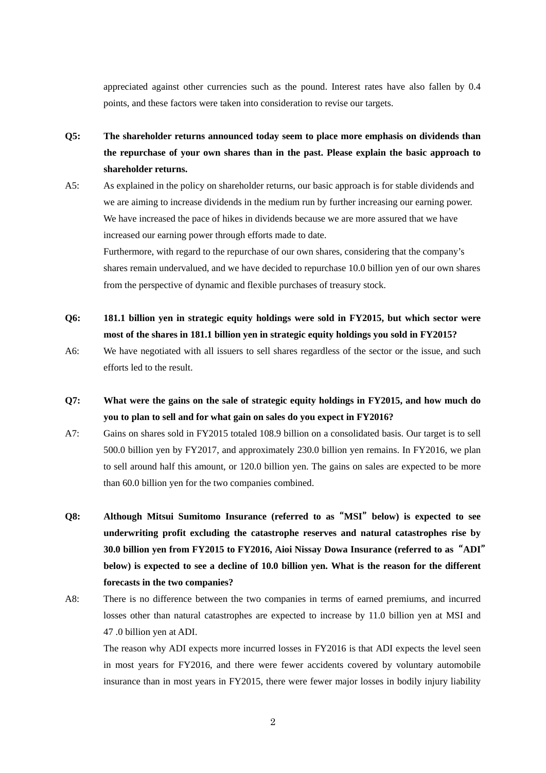appreciated against other currencies such as the pound. Interest rates have also fallen by 0.4 points, and these factors were taken into consideration to revise our targets.

- **Q5: The shareholder returns announced today seem to place more emphasis on dividends than the repurchase of your own shares than in the past. Please explain the basic approach to shareholder returns.**
- A5: As explained in the policy on shareholder returns, our basic approach is for stable dividends and we are aiming to increase dividends in the medium run by further increasing our earning power. We have increased the pace of hikes in dividends because we are more assured that we have increased our earning power through efforts made to date.

Furthermore, with regard to the repurchase of our own shares, considering that the company's shares remain undervalued, and we have decided to repurchase 10.0 billion yen of our own shares from the perspective of dynamic and flexible purchases of treasury stock.

- **Q6: 181.1 billion yen in strategic equity holdings were sold in FY2015, but which sector were most of the shares in 181.1 billion yen in strategic equity holdings you sold in FY2015?**
- A6: We have negotiated with all issuers to sell shares regardless of the sector or the issue, and such efforts led to the result.
- **Q7: What were the gains on the sale of strategic equity holdings in FY2015, and how much do you to plan to sell and for what gain on sales do you expect in FY2016?**
- A7: Gains on shares sold in FY2015 totaled 108.9 billion on a consolidated basis. Our target is to sell 500.0 billion yen by FY2017, and approximately 230.0 billion yen remains. In FY2016, we plan to sell around half this amount, or 120.0 billion yen. The gains on sales are expected to be more than 60.0 billion yen for the two companies combined.
- **Q8: Although Mitsui Sumitomo Insurance (referred to as**"**MSI**"**below) is expected to see underwriting profit excluding the catastrophe reserves and natural catastrophes rise by 30.0 billion yen from FY2015 to FY2016, Aioi Nissay Dowa Insurance (referred to as**"**ADI**" **below) is expected to see a decline of 10.0 billion yen. What is the reason for the different forecasts in the two companies?**
- A8: There is no difference between the two companies in terms of earned premiums, and incurred losses other than natural catastrophes are expected to increase by 11.0 billion yen at MSI and 47 .0 billion yen at ADI.

 The reason why ADI expects more incurred losses in FY2016 is that ADI expects the level seen in most years for FY2016, and there were fewer accidents covered by voluntary automobile insurance than in most years in FY2015, there were fewer major losses in bodily injury liability